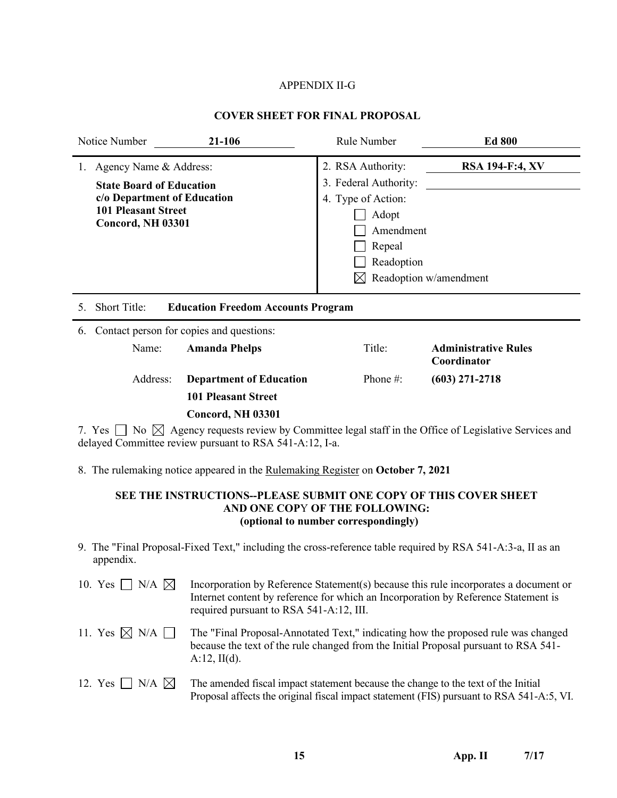# APPENDIX II-G

# **COVER SHEET FOR FINAL PROPOSAL**

|                                                                                                                                                   | Notice Number | 21-106                                                                                                                                                             | Rule Number | <b>Ed 800</b>                              |
|---------------------------------------------------------------------------------------------------------------------------------------------------|---------------|--------------------------------------------------------------------------------------------------------------------------------------------------------------------|-------------|--------------------------------------------|
| Agency Name & Address:<br>1.<br><b>State Board of Education</b><br>c/o Department of Education<br><b>101 Pleasant Street</b><br>Concord, NH 03301 |               | 2. RSA Authority:<br><b>RSA 194-F:4, XV</b><br>3. Federal Authority:<br>4. Type of Action:<br>Adopt<br>Amendment<br>Repeal<br>Readoption<br>Readoption w/amendment |             |                                            |
| 5.                                                                                                                                                | Short Title:  | <b>Education Freedom Accounts Program</b>                                                                                                                          |             |                                            |
| 6.                                                                                                                                                |               | Contact person for copies and questions:                                                                                                                           |             |                                            |
|                                                                                                                                                   | Name:         | <b>Amanda Phelps</b>                                                                                                                                               | Title:      | <b>Administrative Rules</b><br>Coordinator |
|                                                                                                                                                   | Address:      | <b>Department of Education</b>                                                                                                                                     | Phone $#$ : | $(603)$ 271-2718                           |
|                                                                                                                                                   |               | <b>101 Pleasant Street</b>                                                                                                                                         |             |                                            |
|                                                                                                                                                   |               | Concord, NH 03301                                                                                                                                                  |             |                                            |
|                                                                                                                                                   |               |                                                                                                                                                                    |             |                                            |

7. Yes  $\Box$  No  $\boxtimes$  Agency requests review by Committee legal staff in the Office of Legislative Services and delayed Committee review pursuant to RSA 541-A:12, I-a.

8. The rulemaking notice appeared in the Rulemaking Register on **October 7, 2021**

# **SEE THE INSTRUCTIONS--PLEASE SUBMIT ONE COPY OF THIS COVER SHEET AND ONE COP**Y **OF THE FOLLOWING: (optional to number correspondingly)**

- 9. The "Final Proposal-Fixed Text," including the cross-reference table required by RSA 541-A:3-a, II as an appendix.
- 10. Yes  $\Box$  N/A  $\boxtimes$  Incorporation by Reference Statement(s) because this rule incorporates a document or Internet content by reference for which an Incorporation by Reference Statement is required pursuant to RSA 541-A:12, III.
- 11. Yes  $\boxtimes$  N/A  $\Box$  The "Final Proposal-Annotated Text," indicating how the proposed rule was changed because the text of the rule changed from the Initial Proposal pursuant to RSA 541-  $A:12, H(d)$ .
- 12. Yes  $\Box$  N/A  $\boxtimes$  The amended fiscal impact statement because the change to the text of the Initial Proposal affects the original fiscal impact statement (FIS) pursuant to RSA 541-A:5, VI.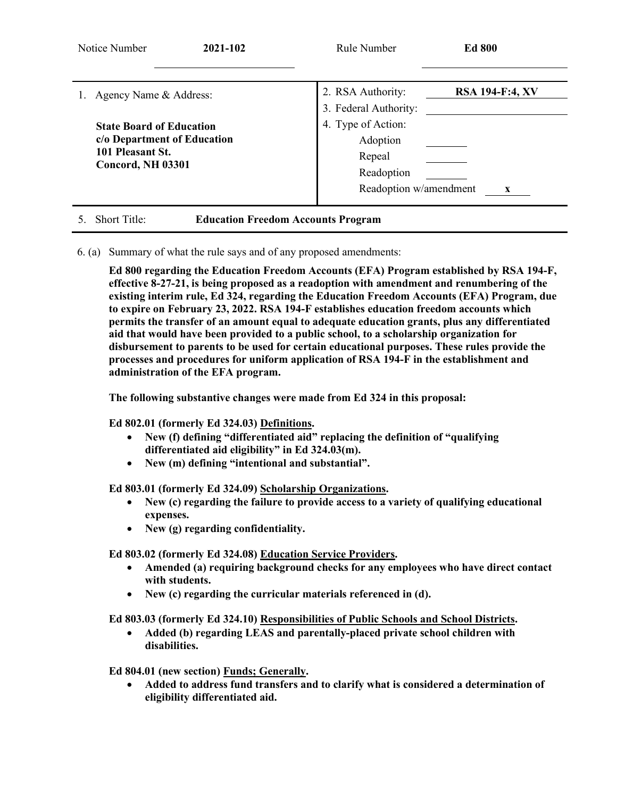| Notice Number<br>2021-102                                                                               | Rule Number                                                                      | <b>Ed 800</b>          |
|---------------------------------------------------------------------------------------------------------|----------------------------------------------------------------------------------|------------------------|
| Agency Name & Address:                                                                                  | 2. RSA Authority:<br>3. Federal Authority:                                       | <b>RSA 194-F:4, XV</b> |
| <b>State Board of Education</b><br>c/o Department of Education<br>101 Pleasant St.<br>Concord, NH 03301 | 4. Type of Action:<br>Adoption<br>Repeal<br>Readoption<br>Readoption w/amendment |                        |

# 5. Short Title: **Education Freedom Accounts Program**

6. (a) Summary of what the rule says and of any proposed amendments:

**Ed 800 regarding the Education Freedom Accounts (EFA) Program established by RSA 194-F, effective 8-27-21, is being proposed as a readoption with amendment and renumbering of the existing interim rule, Ed 324, regarding the Education Freedom Accounts (EFA) Program, due to expire on February 23, 2022. RSA 194-F establishes education freedom accounts which permits the transfer of an amount equal to adequate education grants, plus any differentiated aid that would have been provided to a public school, to a scholarship organization for disbursement to parents to be used for certain educational purposes. These rules provide the processes and procedures for uniform application of RSA 194-F in the establishment and administration of the EFA program.**

**The following substantive changes were made from Ed 324 in this proposal:**

**Ed 802.01 (formerly Ed 324.03) Definitions.**

- **New (f) defining "differentiated aid" replacing the definition of "qualifying differentiated aid eligibility" in Ed 324.03(m).**
- **New (m) defining "intentional and substantial".**

**Ed 803.01 (formerly Ed 324.09) Scholarship Organizations.**

- **New (c) regarding the failure to provide access to a variety of qualifying educational expenses.**
- **New (g) regarding confidentiality.**

**Ed 803.02 (formerly Ed 324.08) Education Service Providers.**

- **Amended (a) requiring background checks for any employees who have direct contact with students.**
- **New (c) regarding the curricular materials referenced in (d).**

**Ed 803.03 (formerly Ed 324.10) Responsibilities of Public Schools and School Districts.**

• **Added (b) regarding LEAS and parentally-placed private school children with disabilities.**

**Ed 804.01 (new section) Funds; Generally.**

• **Added to address fund transfers and to clarify what is considered a determination of eligibility differentiated aid.**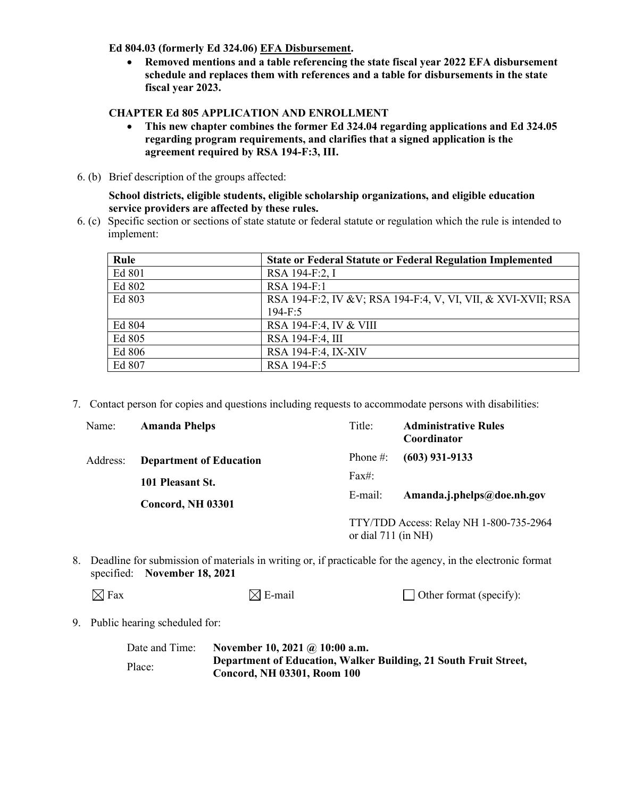## **Ed 804.03 (formerly Ed 324.06) EFA Disbursement.**

• **Removed mentions and a table referencing the state fiscal year 2022 EFA disbursement schedule and replaces them with references and a table for disbursements in the state fiscal year 2023.** 

# **CHAPTER Ed 805 APPLICATION AND ENROLLMENT**

- **This new chapter combines the former Ed 324.04 regarding applications and Ed 324.05 regarding program requirements, and clarifies that a signed application is the agreement required by RSA 194-F:3, III.**
- 6. (b) Brief description of the groups affected:

**School districts, eligible students, eligible scholarship organizations, and eligible education service providers are affected by these rules.**

6. (c) Specific section or sections of state statute or federal statute or regulation which the rule is intended to implement:

| Rule   | <b>State or Federal Statute or Federal Regulation Implemented</b> |
|--------|-------------------------------------------------------------------|
| Ed 801 | RSA 194-F:2, I                                                    |
| Ed 802 | RSA 194-F:1                                                       |
| Ed 803 | RSA 194-F:2, IV & V; RSA 194-F:4, V, VI, VII, & XVI-XVII; RSA     |
|        | $194 - F:5$                                                       |
| Ed 804 | RSA 194-F:4, IV & VIII                                            |
| Ed 805 | RSA 194-F:4, III                                                  |
| Ed 806 | RSA 194-F:4, IX-XIV                                               |
| Ed 807 | RSA 194-F:5                                                       |

7. Contact person for copies and questions including requests to accommodate persons with disabilities:

| Name:    | <b>Amanda Phelps</b>           | Title:                | <b>Administrative Rules</b><br>Coordinator |
|----------|--------------------------------|-----------------------|--------------------------------------------|
| Address: | <b>Department of Education</b> | Phone $#$ :           | $(603)$ 931-9133                           |
|          | 101 Pleasant St.               | Fax#:                 |                                            |
|          | Concord, NH 03301              | E-mail:               | Amanda.j.phelps@doe.nh.gov                 |
|          |                                | or dial $711$ (in NH) | TTY/TDD Access: Relay NH 1-800-735-2964    |

8. Deadline for submission of materials in writing or, if practicable for the agency, in the electronic format specified: **November 18, 2021**

| $\boxtimes$ Fax | $\boxtimes$ E-mail | $\Box$ Other format (specify): |
|-----------------|--------------------|--------------------------------|
|-----------------|--------------------|--------------------------------|

9. Public hearing scheduled for:

| Date and Time: | November 10, 2021 @ 10:00 a.m.                                                                         |
|----------------|--------------------------------------------------------------------------------------------------------|
| Place:         | Department of Education, Walker Building, 21 South Fruit Street,<br><b>Concord, NH 03301, Room 100</b> |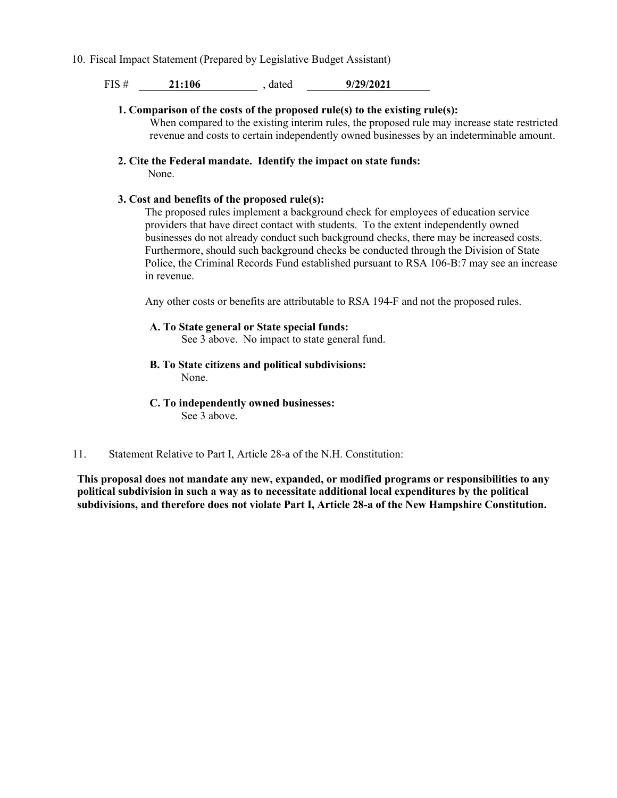10. Fiscal Impact Statement (Prepared by Legislative Budget Assistant)

FIS # **21:106** , dated **9/29/2021**

- **1. Comparison of the costs of the proposed rule(s) to the existing rule(s):** When compared to the existing interim rules, the proposed rule may increase state restricted revenue and costs to certain independently owned businesses by an indeterminable amount.
- **2. Cite the Federal mandate. Identify the impact on state funds:** None.

## **3. Cost and benefits of the proposed rule(s):**

The proposed rules implement a background check for employees of education service providers that have direct contact with students. To the extent independently owned businesses do not already conduct such background checks, there may be increased costs. Furthermore, should such background checks be conducted through the Division of State Police, the Criminal Records Fund established pursuant to RSA 106-B:7 may see an increase in revenue.

Any other costs or benefits are attributable to RSA 194-F and not the proposed rules.

### **A. To State general or State special funds:**

See 3 above. No impact to state general fund.

**B. To State citizens and political subdivisions:**

None.

**C. To independently owned businesses:**

See 3 above.

# 11. Statement Relative to Part I, Article 28-a of the N.H. Constitution:

**This proposal does not mandate any new, expanded, or modified programs or responsibilities to any political subdivision in such a way as to necessitate additional local expenditures by the political subdivisions, and therefore does not violate Part I, Article 28-a of the New Hampshire Constitution.**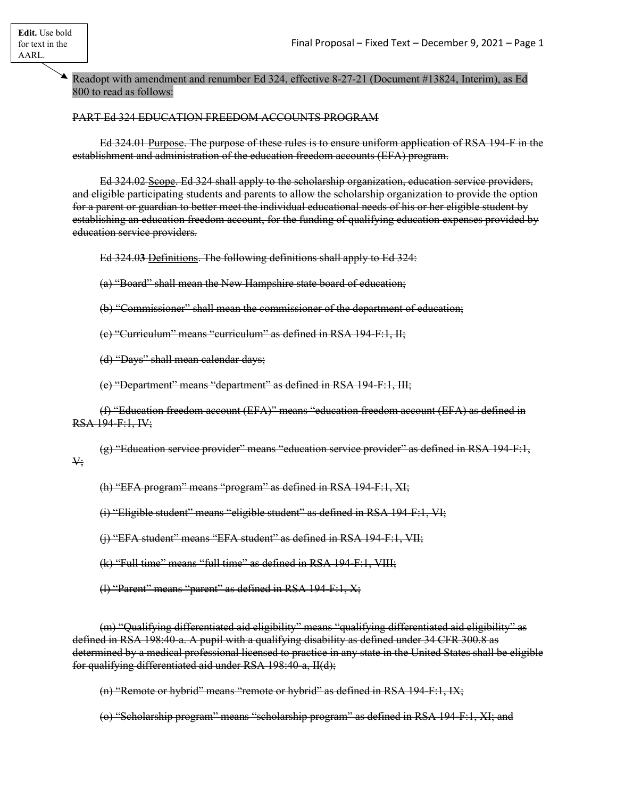Readopt with amendment and renumber Ed 324, effective 8-27-21 (Document #13824, Interim), as Ed 800 to read as follows:

PART Ed 324 EDUCATION FREEDOM ACCOUNTS PROGRAM

Ed 324.01 Purpose. The purpose of these rules is to ensure uniform application of RSA 194-F in the establishment and administration of the education freedom accounts (EFA) program.

Ed 324.02 Scope. Ed 324 shall apply to the scholarship organization, education service providers, and eligible participating students and parents to allow the scholarship organization to provide the option for a parent or guardian to better meet the individual educational needs of his or her eligible student by establishing an education freedom account, for the funding of qualifying education expenses provided by education service providers.

Ed 324.0**3** Definitions. The following definitions shall apply to Ed 324:

(a) "Board" shall mean the New Hampshire state board of education;

(b) "Commissioner" shall mean the commissioner of the department of education;

(c) "Curriculum" means "curriculum" as defined in RSA 194-F:1, II;

(d) "Days" shall mean calendar days;

(e) "Department" means "department" as defined in RSA 194-F:1, III;

(f) "Education freedom account (EFA)" means "education freedom account (EFA) as defined in RSA 194-F:1, IV;

(g) "Education service provider" means "education service provider" as defined in RSA 194-F:1, V;

(h) "EFA program" means "program" as defined in RSA 194-F:1, XI;

(i) "Eligible student" means "eligible student" as defined in RSA 194-F:1, VI;

(j) "EFA student" means "EFA student" as defined in RSA 194-F:1, VII;

(k) "Full time" means "full time" as defined in RSA 194-F:1, VIII;

(l) "Parent" means "parent" as defined in RSA 194-F:1, X;

(m) "Qualifying differentiated aid eligibility" means "qualifying differentiated aid eligibility" as defined in RSA 198:40-a. A pupil with a qualifying disability as defined under 34 CFR 300.8 as determined by a medical professional licensed to practice in any state in the United States shall be eligible for qualifying differentiated aid under RSA 198:40-a, II(d);

(n) "Remote or hybrid" means "remote or hybrid" as defined in RSA 194-F:1, IX;

(o) "Scholarship program" means "scholarship program" as defined in RSA 194-F:1, XI; and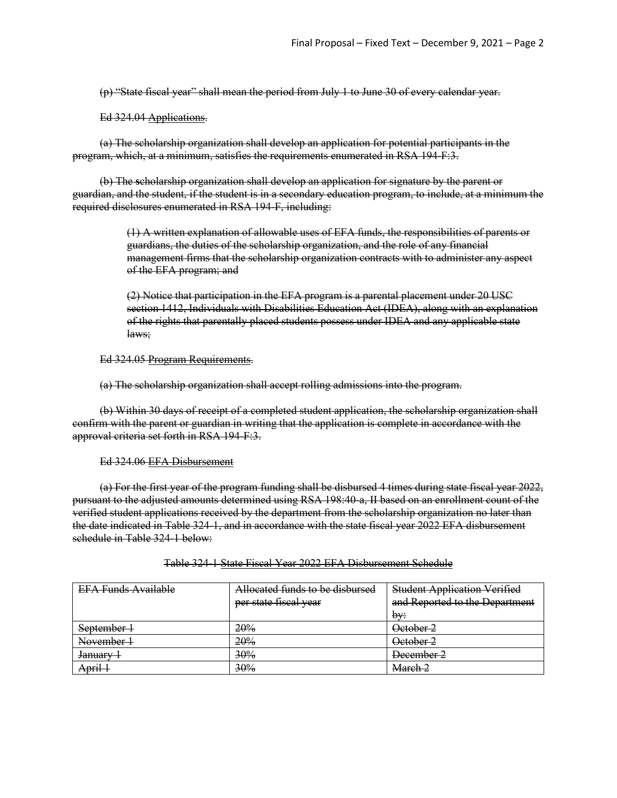(p) "State fiscal year" shall mean the period from July 1 to June 30 of every calendar year.

Ed 324.04 Applications.

(a) The scholarship organization shall develop an application for potential participants in the program, which, at a minimum, satisfies the requirements enumerated in RSA 194-F:3.

(b) The **s**cholarship organization shall develop an application for signature by the parent or guardian, and the student, if the student is in a secondary education program, to include, at a minimum the required disclosures enumerated in RSA 194-F, including:

> (1) A written explanation of allowable uses of EFA funds, the responsibilities of parents or guardians, the duties of the scholarship organization, and the role of any financial management firms that the scholarship organization contracts with to administer any aspect of the EFA program; and

(2) Notice that participation in the EFA program is a parental placement under 20 USC section 1412, Individuals with Disabilities Education Act (IDEA), along with an explanation of the rights that parentally placed students possess under IDEA and any applicable state laws;

Ed 324.05 Program Requirements.

(a) The scholarship organization shall accept rolling admissions into the program.

(b) Within 30 days of receipt of a completed student application, the scholarship organization shall confirm with the parent or guardian in writing that the application is complete in accordance with the approval criteria set forth in RSA 194-F:3.

Ed 324.06 EFA Disbursement

(a) For the first year of the program funding shall be disbursed 4 times during state fiscal year 2022, pursuant to the adjusted amounts determined using RSA 198:40-a, II based on an enrollment count of the verified student applications received by the department from the scholarship organization no later than the date indicated in Table 324-1, and in accordance with the state fiscal year 2022 EFA disbursement schedule in Table 324-1 below:

| <b>EFA Funds Available</b> | Allocated funds to be disbursed | <b>Student Application Verified</b> |
|----------------------------|---------------------------------|-------------------------------------|
|                            | per state fiscal year           | and Reported to the Department      |
|                            |                                 | bv:                                 |
| September 1                | 20%                             | October 2                           |
| November 1                 | 20%                             | October 2                           |
| <del>January</del>         | 30%                             | December 2                          |
| April 1                    | 30%                             | March 2                             |

Table 324-1 State Fiscal Year 2022 EFA Disbursement Schedule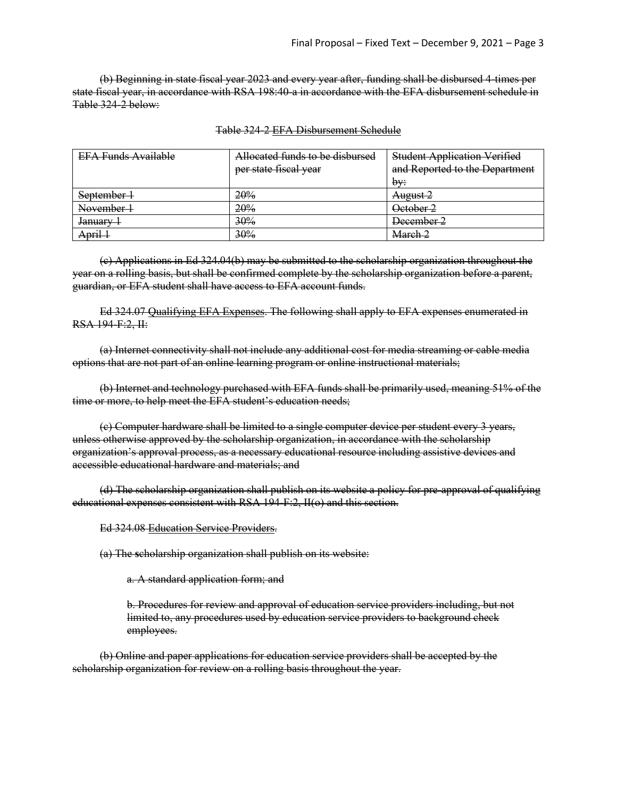(b) Beginning in state fiscal year 2023 and every year after, funding shall be disbursed 4-times per state fiscal year, in accordance with RSA 198:40-a in accordance with the EFA disbursement schedule in Table 324-2 below:

| <b>EFA Funds Available</b> | Allocated funds to be disbursed | <b>Student Application Verified</b> |
|----------------------------|---------------------------------|-------------------------------------|
|                            | per state fiscal year           | and Reported to the Department      |
|                            |                                 | bv:                                 |
| September 1                | 20%                             | August 2                            |
| November 1                 | 20%                             | October 2                           |
| January                    | 30%                             | December 2                          |
| April 1                    | 30%                             | March <sub>2</sub>                  |

#### Table 324-2 EFA Disbursement Schedule

(c) Applications in Ed 324.04(b) may be submitted to the scholarship organization throughout the year on a rolling basis, but shall be confirmed complete by the scholarship organization before a parent, guardian, or EFA student shall have access to EFA account funds.

Ed 324.07 Qualifying EFA Expenses. The following shall apply to EFA expenses enumerated in RSA 194-F:2, II:

(a) Internet connectivity shall not include any additional cost for media streaming or cable media options that are not part of an online learning program or online instructional materials;

(b) Internet and technology purchased with EFA funds shall be primarily used, meaning 51% of the time or more, to help meet the EFA student's education needs;

(c) Computer hardware shall be limited to a single computer device per student every 3 years, unless otherwise approved by the scholarship organization, in accordance with the scholarship organization's approval process, as a necessary educational resource including assistive devices and accessible educational hardware and materials; and

(d) The scholarship organization shall publish on its website a policy for pre-approval of qualifying educational expenses consistent with RSA  $194$  F:2,  $H(\theta)$  and this section.

Ed 324.08 Education Service Providers.

(a) The **s**cholarship organization shall publish on its website:

a. A standard application form; and

b. Procedures for review and approval of education service providers including, but not limited to, any procedures used by education service providers to background check employees.

(b) Online and paper applications for education service providers shall be accepted by the scholarship organization for review on a rolling basis throughout the year.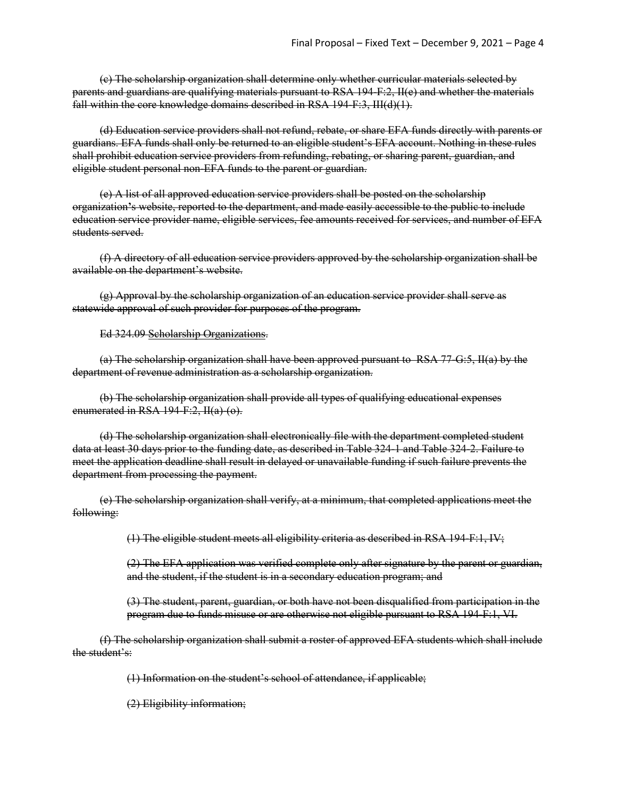(c) The scholarship organization shall determine only whether curricular materials selected by parents and guardians are qualifying materials pursuant to RSA 194-F:2, II(e) and whether the materials fall within the core knowledge domains described in RSA 194-F:3, III(d)(1).

(d) Education service providers shall not refund, rebate, or share EFA funds directly with parents or guardians. EFA funds shall only be returned to an eligible student's EFA account. Nothing in these rules shall prohibit education service providers from refunding, rebating, or sharing parent, guardian, and eligible student personal non-EFA funds to the parent or guardian.

(e) A list of all approved education service providers shall be posted on the scholarship organization**'**s website, reported to the department, and made easily accessible to the public to include education service provider name, eligible services, fee amounts received for services, and number of EFA students served.

(f) A directory of all education service providers approved by the scholarship organization shall be available on the department's website.

(g) Approval by the scholarship organization of an education service provider shall serve as statewide approval of such provider for purposes of the program.

#### Ed 324.09 Scholarship Organizations.

(a) The scholarship organization shall have been approved pursuant to RSA 77-G:5, II(a) by the department of revenue administration as a scholarship organization.

(b) The scholarship organization shall provide all types of qualifying educational expenses enumerated in RSA 194-F:2, II(a)-(o).

(d) The scholarship organization shall electronically file with the department completed student data at least 30 days prior to the funding date, as described in Table 324-1 and Table 324-2. Failure to meet the application deadline shall result in delayed or unavailable funding if such failure prevents the department from processing the payment.

(e) The scholarship organization shall verify, at a minimum, that completed applications meet the following:

(1) The eligible student meets all eligibility criteria as described in RSA 194-F:1, IV;

(2) The EFA application was verified complete only after signature by the parent or guardian, and the student, if the student is in a secondary education program; and

(3) The student, parent, guardian, or both have not been disqualified from participation in the program due to funds misuse or are otherwise not eligible pursuant to RSA 194-F:1, VI.

(f) The scholarship organization shall submit a roster of approved EFA students which shall include the student's:

(1) Information on the student's school of attendance, if applicable;

(2) Eligibility information;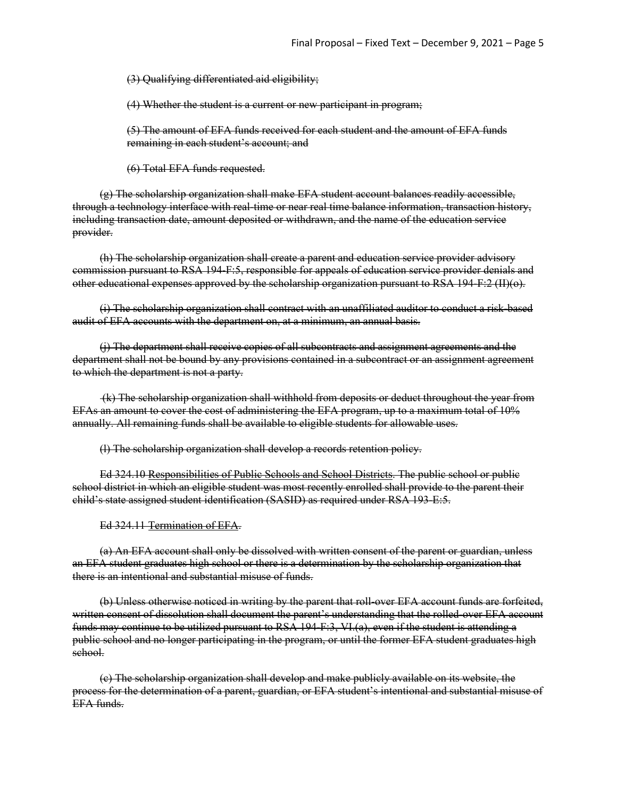(3) Qualifying differentiated aid eligibility;

(4) Whether the student is a current or new participant in program;

(5) The amount of EFA funds received for each student and the amount of EFA funds remaining in each student's account; and

(6) Total EFA funds requested.

(g) The scholarship organization shall make EFA student account balances readily accessible, through a technology interface with real-time or near real time balance information, transaction history, including transaction date, amount deposited or withdrawn, and the name of the education service provider.

(h) The scholarship organization shall create a parent and education service provider advisory commission pursuant to RSA 194-F:5, responsible for appeals of education service provider denials and other educational expenses approved by the scholarship organization pursuant to RSA 194-F:2 (II)(o).

(i) The scholarship organization shall contract with an unaffiliated auditor to conduct a risk-based audit of EFA accounts with the department on, at a minimum, an annual basis.

(j) The department shall receive copies of all subcontracts and assignment agreements and the department shall not be bound by any provisions contained in a subcontract or an assignment agreement to which the department is not a party.

(k) The scholarship organization shall withhold from deposits or deduct throughout the year from EFAs an amount to cover the cost of administering the EFA program, up to a maximum total of 10% annually. All remaining funds shall be available to eligible students for allowable uses.

(l) The scholarship organization shall develop a records retention policy.

Ed 324.10 Responsibilities of Public Schools and School Districts. The public school or public school district in which an eligible student was most recently enrolled shall provide to the parent their child's state assigned student identification (SASID) as required under RSA 193-E:5.

Ed 324.11 Termination of EFA.

(a) An EFA account shall only be dissolved with written consent of the parent or guardian, unless an EFA student graduates high school or there is a determination by the scholarship organization that there is an intentional and substantial misuse of funds.

(b) Unless otherwise noticed in writing by the parent that roll-over EFA account funds are forfeited, written consent of dissolution shall document the parent's understanding that the rolled-over EFA account funds may continue to be utilized pursuant to RSA 194-F:3, VI.(a), even if the student is attending a public school and no longer participating in the program, or until the former EFA student graduates high school.

(c) The scholarship organization shall develop and make publicly available on its website, the process for the determination of a parent, guardian, or EFA student's intentional and substantial misuse of EFA funds.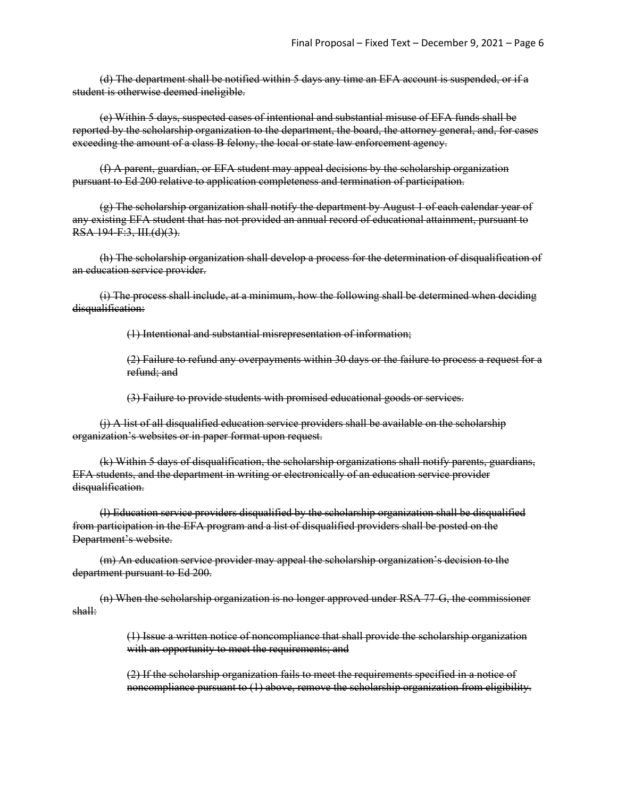(d) The department shall be notified within 5 days any time an EFA account is suspended, or if a student is otherwise deemed ineligible.

(e) Within 5 days, suspected cases of intentional and substantial misuse of EFA funds shall be reported by the scholarship organization to the department, the board, the attorney general, and, for cases exceeding the amount of a class B felony, the local or state law enforcement agency.

(f) A parent, guardian, or EFA student may appeal decisions by the scholarship organization pursuant to Ed 200 relative to application completeness and termination of participation.

(g) The scholarship organization shall notify the department by August 1 of each calendar year of any existing EFA student that has not provided an annual record of educational attainment, pursuant to RSA 194-F:3, III.(d)(3).

(h) The scholarship organization shall develop a process for the determination of disqualification of an education service provider.

(i) The process shall include, at a minimum, how the following shall be determined when deciding disqualification:

(1) Intentional and substantial misrepresentation of information;

(2) Failure to refund any overpayments within 30 days or the failure to process a request for a refund; and

(3) Failure to provide students with promised educational goods or services.

(j) A list of all disqualified education service providers shall be available on the scholarship organization's websites or in paper format upon request.

(k) Within 5 days of disqualification, the scholarship organizations shall notify parents, guardians, EFA students, and the department in writing or electronically of an education service provider disqualification.

(l) Education service providers disqualified by the scholarship organization shall be disqualified from participation in the EFA program and a list of disqualified providers shall be posted on the Department's website.

(m) An education service provider may appeal the scholarship organization's decision to the department pursuant to Ed 200.

(n) When the scholarship organization is no longer approved under RSA 77-G, the commissioner shall:

> (1) Issue a written notice of noncompliance that shall provide the scholarship organization with an opportunity to meet the requirements; and

> (2) If the scholarship organization fails to meet the requirements specified in a notice of noncompliance pursuant to (1) above, remove the scholarship organization from eligibility.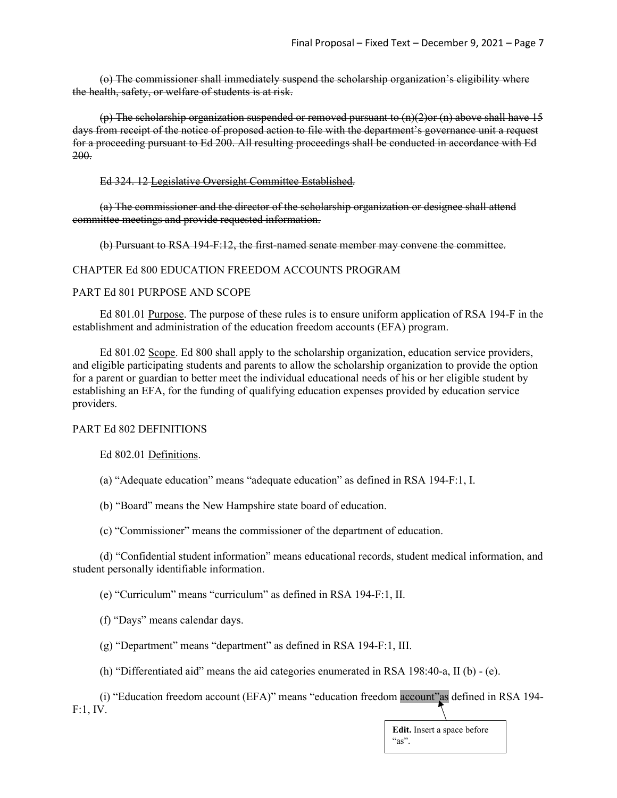(o) The commissioner shall immediately suspend the scholarship organization's eligibility where the health, safety, or welfare of students is at risk.

(p) The scholarship organization suspended or removed pursuant to  $(n)(2)$ or  $(n)$  above shall have 15 days from receipt of the notice of proposed action to file with the department's governance unit a request for a proceeding pursuant to Ed 200. All resulting proceedings shall be conducted in accordance with Ed 200.

Ed 324. 12 Legislative Oversight Committee Established.

(a) The commissioner and the director of the scholarship organization or designee shall attend committee meetings and provide requested information.

(b) Pursuant to RSA 194-F:12, the first-named senate member may convene the committee.

#### CHAPTER Ed 800 EDUCATION FREEDOM ACCOUNTS PROGRAM

#### PART Ed 801 PURPOSE AND SCOPE

Ed 801.01 Purpose. The purpose of these rules is to ensure uniform application of RSA 194-F in the establishment and administration of the education freedom accounts (EFA) program.

Ed 801.02 Scope. Ed 800 shall apply to the scholarship organization, education service providers, and eligible participating students and parents to allow the scholarship organization to provide the option for a parent or guardian to better meet the individual educational needs of his or her eligible student by establishing an EFA, for the funding of qualifying education expenses provided by education service providers.

#### PART Ed 802 DEFINITIONS

Ed 802.01 Definitions.

(a) "Adequate education" means "adequate education" as defined in RSA 194-F:1, I.

(b) "Board" means the New Hampshire state board of education.

(c) "Commissioner" means the commissioner of the department of education.

(d) "Confidential student information" means educational records, student medical information, and student personally identifiable information.

(e) "Curriculum" means "curriculum" as defined in RSA 194-F:1, II.

(f) "Days" means calendar days.

(g) "Department" means "department" as defined in RSA 194-F:1, III.

(h) "Differentiated aid" means the aid categories enumerated in RSA 198:40-a, II (b) - (e).

(i) "Education freedom account (EFA)" means "education freedom account"as defined in RSA 194- F:1, IV.

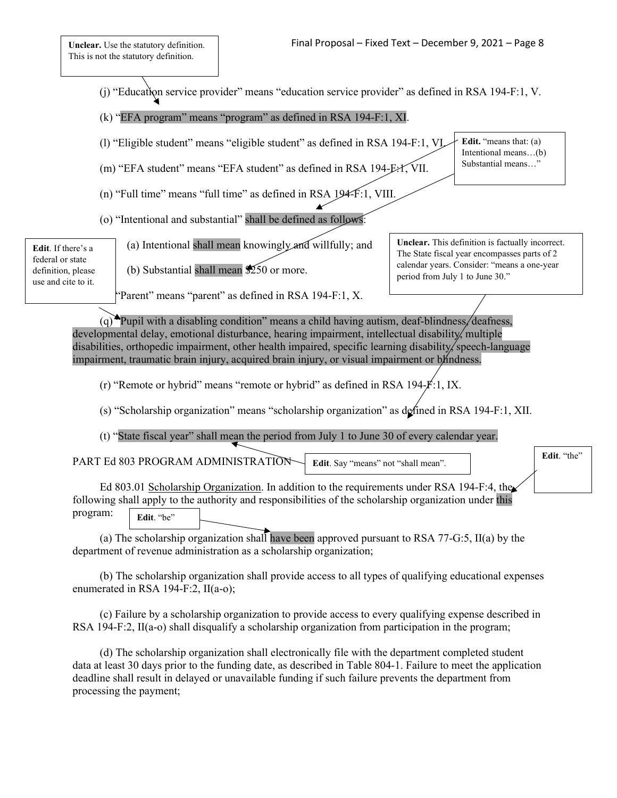(j) "Education service provider" means "education service provider" as defined in RSA 194-F:1, V.

(k) "EFA program" means "program" as defined in RSA 194-F:1, XI.

(l) "Eligible student" means "eligible student" as defined in RSA 194-F:1, VI.

(m) "EFA student" means "EFA student" as defined in RSA 194-F:1, VII.

- (n) "Full time" means "full time" as defined in RSA 194-F:1, VIII.
- (o) "Intentional and substantial" shall be defined as follows:

**Edit**. If there's a federal or state definition, please use and cite to it.

(a) Intentional shall mean knowingly and willfully; and

"Parent" means "parent" as defined in RSA 194-F:1, X.

(b) Substantial shall mean  $\frac{1}{250}$  or more.

**Unclear.** This definition is factually incorrect. The State fiscal year encompasses parts of 2 calendar years. Consider: "means a one-year period from July 1 to June 30."

**Edit.** "the"

**Edit.** "means that: (a) Intentional means…(b) Substantial means…"

(q) Pupil with a disabling condition" means a child having autism, deaf-blindness, deafness, developmental delay, emotional disturbance, hearing impairment, intellectual disability, multiple disabilities, orthopedic impairment, other health impaired, specific learning disability, speech-language impairment, traumatic brain injury, acquired brain injury, or visual impairment or b/indness.

(r) "Remote or hybrid" means "remote or hybrid" as defined in RSA 194-F:1, IX.

(s) "Scholarship organization" means "scholarship organization" as defined in RSA 194-F:1, XII.

(t) "State fiscal year" shall mean the period from July 1 to June 30 of every calendar year.

PART Ed 803 PROGRAM ADMINISTRATION **Edit**. Say "means" not "shall mean".

Ed 803.01 Scholarship Organization. In addition to the requirements under RSA 194-F:4, the following shall apply to the authority and responsibilities of the scholarship organization under this program: Edit. "be"

(a) The scholarship organization shall have been approved pursuant to RSA 77-G:5, II(a) by the department of revenue administration as a scholarship organization;

(b) The scholarship organization shall provide access to all types of qualifying educational expenses enumerated in RSA 194-F:2, II(a-o);

(c) Failure by a scholarship organization to provide access to every qualifying expense described in RSA 194-F:2, II(a-o) shall disqualify a scholarship organization from participation in the program;

(d) The scholarship organization shall electronically file with the department completed student data at least 30 days prior to the funding date, as described in Table 804-1. Failure to meet the application deadline shall result in delayed or unavailable funding if such failure prevents the department from processing the payment;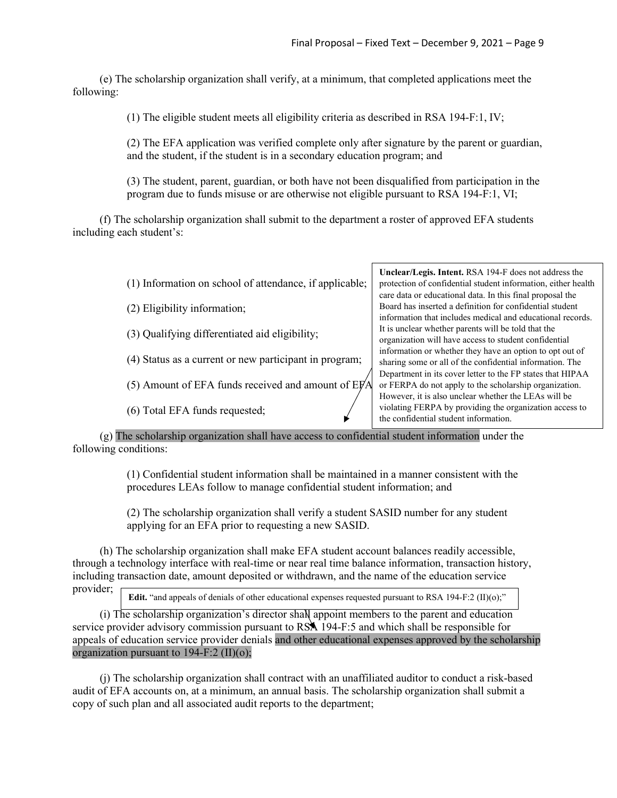(e) The scholarship organization shall verify, at a minimum, that completed applications meet the following:

(1) The eligible student meets all eligibility criteria as described in RSA 194-F:1, IV;

(2) The EFA application was verified complete only after signature by the parent or guardian, and the student, if the student is in a secondary education program; and

(3) The student, parent, guardian, or both have not been disqualified from participation in the program due to funds misuse or are otherwise not eligible pursuant to RSA 194-F:1, VI;

(f) The scholarship organization shall submit to the department a roster of approved EFA students including each student's:

(1) Information on school of attendance, if applicable;

(2) Eligibility information;

- (3) Qualifying differentiated aid eligibility;
- (4) Status as a current or new participant in program;
- (5) Amount of EFA funds received and amount of  $EFA$
- (6) Total EFA funds requested;

**Unclear/Legis. Intent.** RSA 194-F does not address the protection of confidential student information, either health care data or educational data. In this final proposal the Board has inserted a definition for confidential student information that includes medical and educational records. It is unclear whether parents will be told that the organization will have access to student confidential information or whether they have an option to opt out of sharing some or all of the confidential information. The Department in its cover letter to the FP states that HIPAA or FERPA do not apply to the scholarship organization. However, it is also unclear whether the LEAs will be violating FERPA by providing the organization access to the confidential student information.

(g) The scholarship organization shall have access to confidential student information under the following conditions:

> (1) Confidential student information shall be maintained in a manner consistent with the procedures LEAs follow to manage confidential student information; and

(2) The scholarship organization shall verify a student SASID number for any student applying for an EFA prior to requesting a new SASID.

(h) The scholarship organization shall make EFA student account balances readily accessible, through a technology interface with real-time or near real time balance information, transaction history, including transaction date, amount deposited or withdrawn, and the name of the education service provider;

**Edit.** "and appeals of denials of other educational expenses requested pursuant to RSA 194-F:2 (II)(o);"

(i) The scholarship organization's director shall appoint members to the parent and education service provider advisory commission pursuant to RSA 194-F:5 and which shall be responsible for appeals of education service provider denials and other educational expenses approved by the scholarship organization pursuant to  $194-F:2 (II)(o);$ 

(j) The scholarship organization shall contract with an unaffiliated auditor to conduct a risk-based audit of EFA accounts on, at a minimum, an annual basis. The scholarship organization shall submit a copy of such plan and all associated audit reports to the department;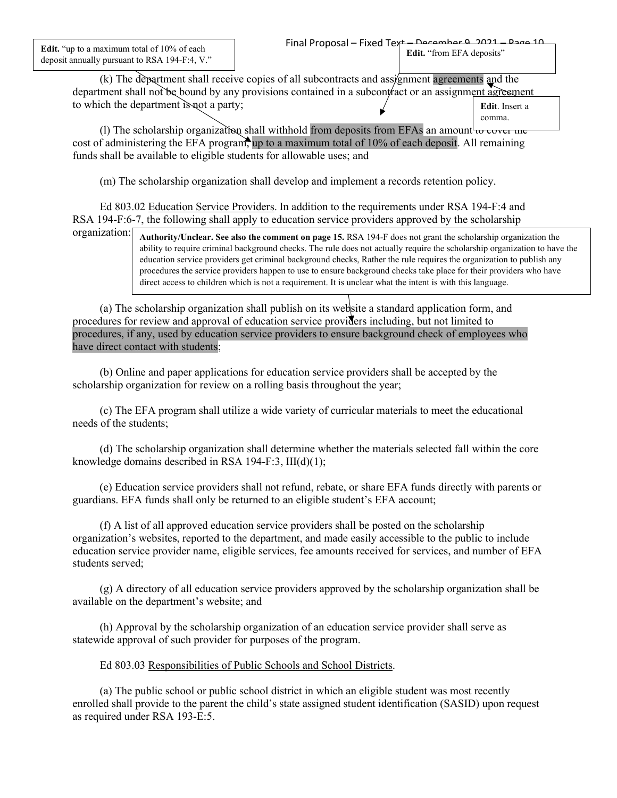**Edit.** "up to a maximum total of 10% of each deposit annually pursuant to RSA 194-F:4, V."

(k) The department shall receive copies of all subcontracts and assignment agreements and the department shall not be bound by any provisions contained in a subcontract or an assignment agreement to which the department is not a party; **Edit**. Insert a comma.

(1) The scholarship organization shall withhold from deposits from EFAs an amount to cover the cost of administering the EFA program, up to a maximum total of 10% of each deposit. All remaining funds shall be available to eligible students for allowable uses; and

(m) The scholarship organization shall develop and implement a records retention policy.

Ed 803.02 Education Service Providers. In addition to the requirements under RSA 194-F:4 and RSA 194-F:6-7, the following shall apply to education service providers approved by the scholarship

**Authority/Unclear. See also the comment on page 15.** RSA 194-F does not grant the scholarship organization the ability to require criminal background checks. The rule does not actually require the scholarship organization to have the education service providers get criminal background checks, Rather the rule requires the organization to publish any procedures the service providers happen to use to ensure background checks take place for their providers who have direct access to children which is not a requirement. It is unclear what the intent is with this language.

(a) The scholarship organization shall publish on its website a standard application form, and procedures for review and approval of education service providers including, but not limited to procedures, if any, used by education service providers to ensure background check of employees who have direct contact with students;

(b) Online and paper applications for education service providers shall be accepted by the scholarship organization for review on a rolling basis throughout the year;

(c) The EFA program shall utilize a wide variety of curricular materials to meet the educational needs of the students;

(d) The scholarship organization shall determine whether the materials selected fall within the core knowledge domains described in RSA 194-F:3, III(d)(1);

(e) Education service providers shall not refund, rebate, or share EFA funds directly with parents or guardians. EFA funds shall only be returned to an eligible student's EFA account;

(f) A list of all approved education service providers shall be posted on the scholarship organization's websites, reported to the department, and made easily accessible to the public to include education service provider name, eligible services, fee amounts received for services, and number of EFA students served;

(g) A directory of all education service providers approved by the scholarship organization shall be available on the department's website; and

(h) Approval by the scholarship organization of an education service provider shall serve as statewide approval of such provider for purposes of the program.

# Ed 803.03 Responsibilities of Public Schools and School Districts.

(a) The public school or public school district in which an eligible student was most recently enrolled shall provide to the parent the child's state assigned student identification (SASID) upon request as required under RSA 193-E:5.

organization: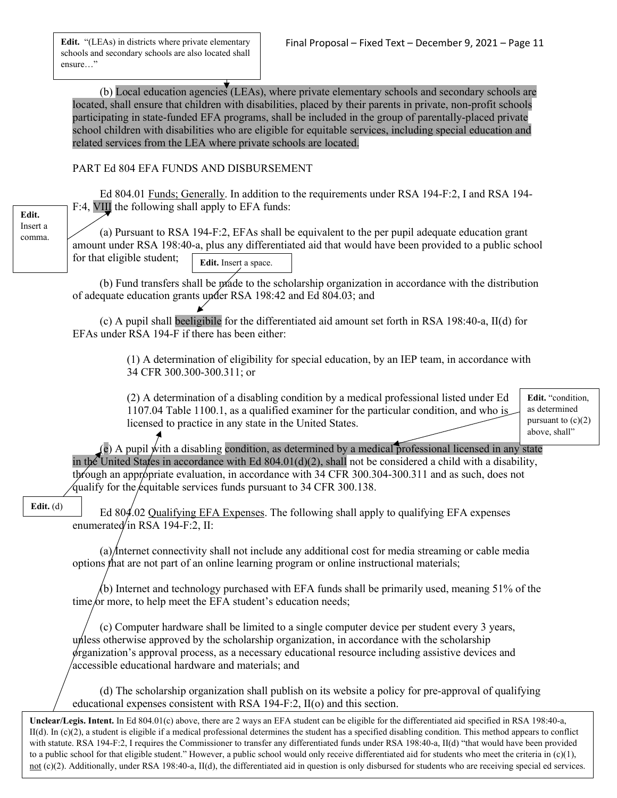**Edit.** "(LEAs) in districts where private elementary schools and secondary schools are also located shall ensure…"

(b) Local education agencies (LEAs), where private elementary schools and secondary schools are located, shall ensure that children with disabilities, placed by their parents in private, non-profit schools participating in state-funded EFA programs, shall be included in the group of parentally-placed private school children with disabilities who are eligible for equitable services, including special education and related services from the LEA where private schools are located.

# PART Ed 804 EFA FUNDS AND DISBURSEMENT

Ed 804.01 Funds; Generally. In addition to the requirements under RSA 194-F:2, I and RSA 194- F:4, VIII the following shall apply to EFA funds: (a) Pursuant to RSA 194-F:2, EFAs shall be equivalent to the per pupil adequate education grant amount under RSA 198:40-a, plus any differentiated aid that would have been provided to a public school for that eligible student; (b) Fund transfers shall be made to the scholarship organization in accordance with the distribution of adequate education grants under RSA 198:42 and Ed 804.03; and (c) A pupil shall beeligibile for the differentiated aid amount set forth in RSA 198:40-a, II(d) for EFAs under RSA 194-F if there has been either: (1) A determination of eligibility for special education, by an IEP team, in accordance with 34 CFR 300.300-300.311; or (2) A determination of a disabling condition by a medical professional listed under Ed 1107.04 Table 1100.1, as a qualified examiner for the particular condition, and who is licensed to practice in any state in the United States.  $(e)$  A pupil with a disabling condition, as determined by a medical professional licensed in any state **Edit.** "condition, **Edit.** Insert a space. **Edit.** Insert a comma.

as determined pursuant to  $(c)(2)$ above, shall"

in the United States in accordance with Ed  $804.01(d)(2)$ , shall not be considered a child with a disability, through an appropriate evaluation, in accordance with 34 CFR 300.304-300.311 and as such, does not qualify for the equitable services funds pursuant to 34 CFR 300.138.

# **Edit.** (d)

Ed 804.02 Qualifying EFA Expenses. The following shall apply to qualifying EFA expenses enumerated in RSA 194-F:2, II:

(a) Internet connectivity shall not include any additional cost for media streaming or cable media options that are not part of an online learning program or online instructional materials;

(b) Internet and technology purchased with EFA funds shall be primarily used, meaning 51% of the time/or more, to help meet the EFA student's education needs;

(c) Computer hardware shall be limited to a single computer device per student every 3 years, unless otherwise approved by the scholarship organization, in accordance with the scholarship organization's approval process, as a necessary educational resource including assistive devices and accessible educational hardware and materials; and

(d) The scholarship organization shall publish on its website a policy for pre-approval of qualifying educational expenses consistent with RSA 194-F:2, II(o) and this section.

**Unclear/Legis. Intent.** In Ed 804.01(c) above, there are 2 ways an EFA student can be eligible for the differentiated aid specified in RSA 198:40-a,  $II(d)$ . In (c)(2), a student is eligible if a medical professional determines the student has a specified disabling condition. This method appears to conflict with statute. RSA 194-F:2, I requires the Commissioner to transfer any differentiated funds under RSA 198:40-a, II(d) "that would have been provided to a public school for that eligible student." However, a public school would only receive differentiated aid for students who meet the criteria in  $(c)(1)$ , not (c)(2). Additionally, under RSA 198:40-a, II(d), the differentiated aid in question is only disbursed for students who are receiving special ed services.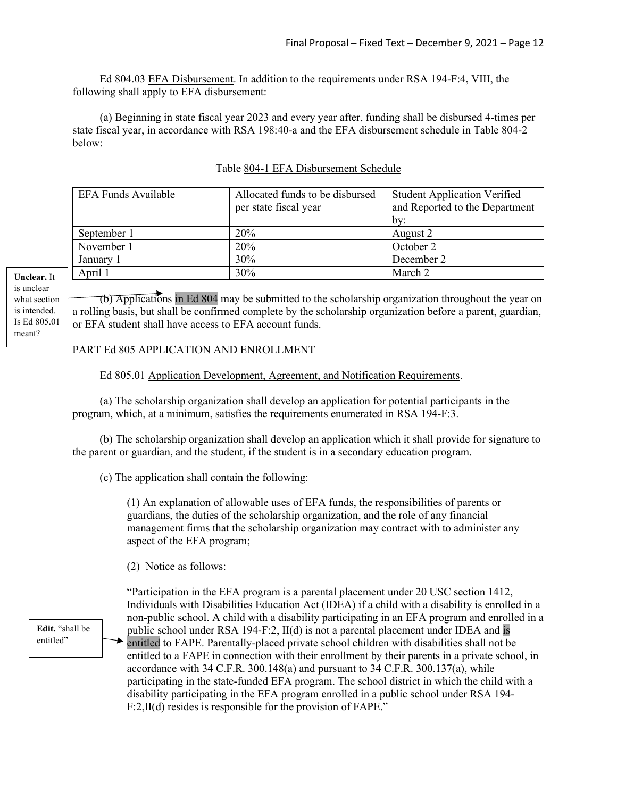Ed 804.03 EFA Disbursement. In addition to the requirements under RSA 194-F:4, VIII, the following shall apply to EFA disbursement:

(a) Beginning in state fiscal year 2023 and every year after, funding shall be disbursed 4-times per state fiscal year, in accordance with RSA 198:40-a and the EFA disbursement schedule in Table 804-2 below:

| EFA Funds Available | Allocated funds to be disbursed<br>per state fiscal year | <b>Student Application Verified</b><br>and Reported to the Department |
|---------------------|----------------------------------------------------------|-----------------------------------------------------------------------|
|                     |                                                          | by:                                                                   |
| September 1         | <b>20%</b>                                               | August 2                                                              |
| November 1          | <b>20%</b>                                               | October 2                                                             |
| January 1           | 30%                                                      | December 2                                                            |
| April 1             | 30%                                                      | March 2                                                               |
|                     |                                                          |                                                                       |

## Table 804-1 EFA Disbursement Schedule

**Unclear.** It is unclear what section is intended. Is Ed 805.01 meant?

(b) Applications in Ed 804 may be submitted to the scholarship organization throughout the year on a rolling basis, but shall be confirmed complete by the scholarship organization before a parent, guardian, or EFA student shall have access to EFA account funds.

# PART Ed 805 APPLICATION AND ENROLLMENT

Ed 805.01 Application Development, Agreement, and Notification Requirements.

(a) The scholarship organization shall develop an application for potential participants in the program, which, at a minimum, satisfies the requirements enumerated in RSA 194-F:3.

(b) The scholarship organization shall develop an application which it shall provide for signature to the parent or guardian, and the student, if the student is in a secondary education program.

(c) The application shall contain the following:

(1) An explanation of allowable uses of EFA funds, the responsibilities of parents or guardians, the duties of the scholarship organization, and the role of any financial management firms that the scholarship organization may contract with to administer any aspect of the EFA program;

(2) Notice as follows:

**Edit.** "shall be entitled"

"Participation in the EFA program is a parental placement under 20 USC section 1412, Individuals with Disabilities Education Act (IDEA) if a child with a disability is enrolled in a non-public school. A child with a disability participating in an EFA program and enrolled in a public school under RSA 194-F:2, II(d) is not a parental placement under IDEA and is entitled to FAPE. Parentally-placed private school children with disabilities shall not be entitled to a FAPE in connection with their enrollment by their parents in a private school, in accordance with 34 C.F.R. 300.148 $(a)$  and pursuant to 34 C.F.R. 300.137 $(a)$ , while participating in the state-funded EFA program. The school district in which the child with a disability participating in the EFA program enrolled in a public school under RSA 194- F:2,II(d) resides is responsible for the provision of FAPE."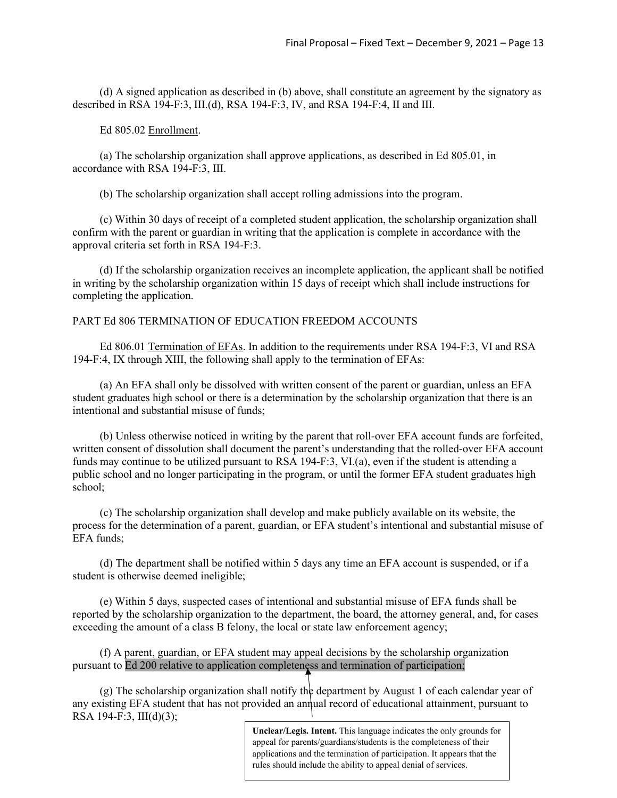(d) A signed application as described in (b) above, shall constitute an agreement by the signatory as described in RSA 194-F:3, III.(d), RSA 194-F:3, IV, and RSA 194-F:4, II and III.

Ed 805.02 Enrollment.

(a) The scholarship organization shall approve applications, as described in Ed 805.01, in accordance with RSA 194-F:3, III.

(b) The scholarship organization shall accept rolling admissions into the program.

(c) Within 30 days of receipt of a completed student application, the scholarship organization shall confirm with the parent or guardian in writing that the application is complete in accordance with the approval criteria set forth in RSA 194-F:3.

(d) If the scholarship organization receives an incomplete application, the applicant shall be notified in writing by the scholarship organization within 15 days of receipt which shall include instructions for completing the application.

# PART Ed 806 TERMINATION OF EDUCATION FREEDOM ACCOUNTS

Ed 806.01 Termination of EFAs. In addition to the requirements under RSA 194-F:3, VI and RSA 194-F:4, IX through XIII, the following shall apply to the termination of EFAs:

(a) An EFA shall only be dissolved with written consent of the parent or guardian, unless an EFA student graduates high school or there is a determination by the scholarship organization that there is an intentional and substantial misuse of funds;

(b) Unless otherwise noticed in writing by the parent that roll-over EFA account funds are forfeited, written consent of dissolution shall document the parent's understanding that the rolled-over EFA account funds may continue to be utilized pursuant to RSA 194-F:3, VI.(a), even if the student is attending a public school and no longer participating in the program, or until the former EFA student graduates high school;

(c) The scholarship organization shall develop and make publicly available on its website, the process for the determination of a parent, guardian, or EFA student's intentional and substantial misuse of EFA funds;

(d) The department shall be notified within 5 days any time an EFA account is suspended, or if a student is otherwise deemed ineligible;

(e) Within 5 days, suspected cases of intentional and substantial misuse of EFA funds shall be reported by the scholarship organization to the department, the board, the attorney general, and, for cases exceeding the amount of a class B felony, the local or state law enforcement agency;

(f) A parent, guardian, or EFA student may appeal decisions by the scholarship organization pursuant to Ed 200 relative to application completeness and termination of participation;

(g) The scholarship organization shall notify the department by August 1 of each calendar year of any existing EFA student that has not provided an annual record of educational attainment, pursuant to RSA 194-F:3, III(d)(3);

> **Unclear/Legis. Intent.** This language indicates the only grounds for appeal for parents/guardians/students is the completeness of their applications and the termination of participation. It appears that the rules should include the ability to appeal denial of services.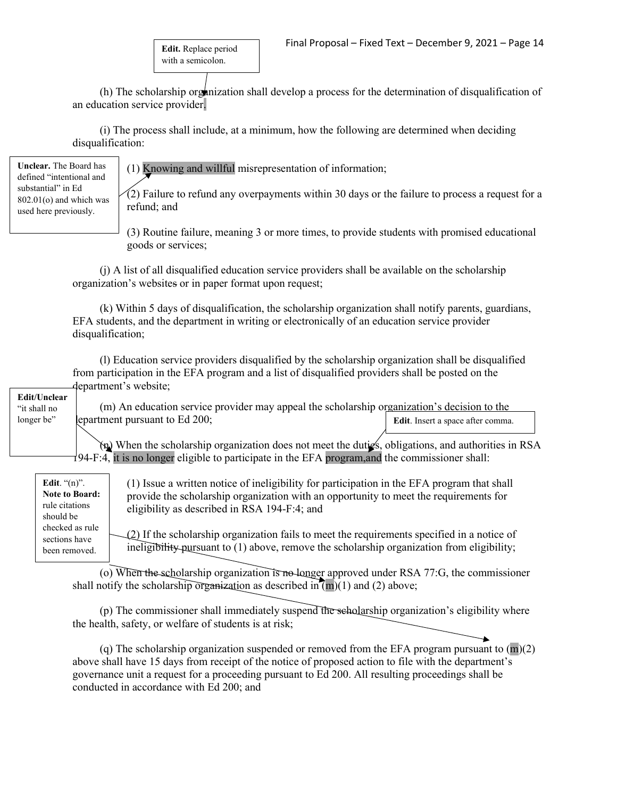**Edit.** Replace period with a semicolon.

(h) The scholarship organization shall develop a process for the determination of disqualification of an education service provider.

(i) The process shall include, at a minimum, how the following are determined when deciding disqualification:

**Unclear.** The Board has defined "intentional and substantial" in Ed 802.01(o) and which was used here previously.

(1) Knowing and willful misrepresentation of information;

(2) Failure to refund any overpayments within 30 days or the failure to process a request for a refund; and

(3) Routine failure, meaning 3 or more times, to provide students with promised educational goods or services;

(j) A list of all disqualified education service providers shall be available on the scholarship organization's websites or in paper format upon request;

(k) Within 5 days of disqualification, the scholarship organization shall notify parents, guardians, EFA students, and the department in writing or electronically of an education service provider disqualification;

(l) Education service providers disqualified by the scholarship organization shall be disqualified from participation in the EFA program and a list of disqualified providers shall be posted on the department's website;

**Edit/Unclear** "it shall no longer be"

(m) An education service provider may appeal the scholarship organization's decision to the epartment pursuant to Ed 200; **Edit**. Insert a space after comma.

(n) When the scholarship organization does not meet the duties, obligations, and authorities in RSA 194-F:4, it is no longer eligible to participate in the EFA program,and the commissioner shall:

| Edit. $(n)$ .<br><b>Note to Board:</b><br>rule citations<br>should be | (1) Issue a written notice of ineligibility for participation in the EFA program that shall<br>provide the scholarship organization with an opportunity to meet the requirements for<br>eligibility as described in RSA 194-F:4; and |
|-----------------------------------------------------------------------|--------------------------------------------------------------------------------------------------------------------------------------------------------------------------------------------------------------------------------------|
| checked as rule<br>sections have<br>been removed.                     | $(2)$ If the scholarship organization fails to meet the requirements specified in a notice of<br>ineligibility pursuant to (1) above, remove the scholarship organization from eligibility;                                          |

(o) When the scholarship organization is no longer approved under RSA 77:G, the commissioner shall notify the scholarship organization as described in  $(m)(1)$  and (2) above;

(p) The commissioner shall immediately suspend the scholarship organization's eligibility where the health, safety, or welfare of students is at risk;

(q) The scholarship organization suspended or removed from the EFA program pursuant to  $(m)(2)$ above shall have 15 days from receipt of the notice of proposed action to file with the department's governance unit a request for a proceeding pursuant to Ed 200. All resulting proceedings shall be conducted in accordance with Ed 200; and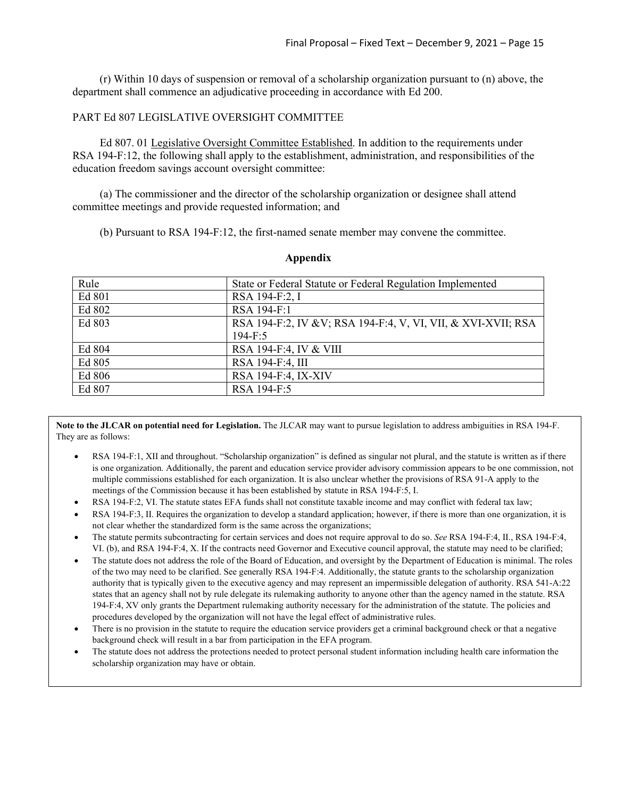(r) Within 10 days of suspension or removal of a scholarship organization pursuant to (n) above, the department shall commence an adjudicative proceeding in accordance with Ed 200.

### PART Ed 807 LEGISLATIVE OVERSIGHT COMMITTEE

Ed 807. 01 Legislative Oversight Committee Established. In addition to the requirements under RSA 194-F:12, the following shall apply to the establishment, administration, and responsibilities of the education freedom savings account oversight committee:

(a) The commissioner and the director of the scholarship organization or designee shall attend committee meetings and provide requested information; and

(b) Pursuant to RSA 194-F:12, the first-named senate member may convene the committee.

| Rule   | State or Federal Statute or Federal Regulation Implemented    |
|--------|---------------------------------------------------------------|
| Ed 801 | RSA 194-F:2, I                                                |
| Ed 802 | RSA 194-F:1                                                   |
| Ed 803 | RSA 194-F:2, IV & V; RSA 194-F:4, V, VI, VII, & XVI-XVII; RSA |
|        | $194 - F:5$                                                   |
| Ed 804 | RSA 194-F:4, IV & VIII                                        |
| Ed 805 | RSA 194-F:4, III                                              |
| Ed 806 | RSA 194-F:4, IX-XIV                                           |
| Ed 807 | RSA 194-F:5                                                   |

#### **Appendix**

**Note to the JLCAR on potential need for Legislation.** The JLCAR may want to pursue legislation to address ambiguities in RSA 194-F. They are as follows:

- RSA 194-F:1, XII and throughout. "Scholarship organization" is defined as singular not plural, and the statute is written as if there is one organization. Additionally, the parent and education service provider advisory commission appears to be one commission, not multiple commissions established for each organization. It is also unclear whether the provisions of RSA 91-A apply to the meetings of the Commission because it has been established by statute in RSA 194-F:5, I.
- RSA 194-F:2, VI. The statute states EFA funds shall not constitute taxable income and may conflict with federal tax law;
- RSA 194-F:3, II. Requires the organization to develop a standard application; however, if there is more than one organization, it is not clear whether the standardized form is the same across the organizations;
- The statute permits subcontracting for certain services and does not require approval to do so. *See* RSA 194-F:4, II., RSA 194-F:4, VI. (b), and RSA 194-F:4, X. If the contracts need Governor and Executive council approval, the statute may need to be clarified;
- The statute does not address the role of the Board of Education, and oversight by the Department of Education is minimal. The roles of the two may need to be clarified. See generally RSA 194-F:4. Additionally, the statute grants to the scholarship organization authority that is typically given to the executive agency and may represent an impermissible delegation of authority. RSA 541-A:22 states that an agency shall not by rule delegate its rulemaking authority to anyone other than the agency named in the statute. RSA 194-F:4, XV only grants the Department rulemaking authority necessary for the administration of the statute. The policies and procedures developed by the organization will not have the legal effect of administrative rules.
- There is no provision in the statute to require the education service providers get a criminal background check or that a negative background check will result in a bar from participation in the EFA program.
- The statute does not address the protections needed to protect personal student information including health care information the scholarship organization may have or obtain.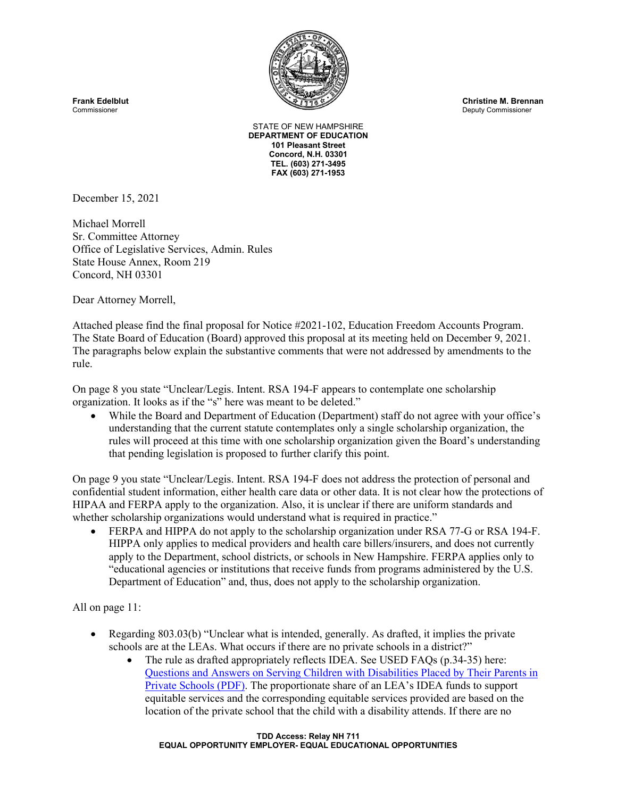

Deputy Commissioner

STATE OF NEW HAMPSHIRE **DEPARTMENT OF EDUCATION 101 Pleasant Street Concord, N.H. 03301 TEL. (603) 271-3495 FAX (603) 271-1953**

December 15, 2021

Michael Morrell Sr. Committee Attorney Office of Legislative Services, Admin. Rules State House Annex, Room 219 Concord, NH 03301

Dear Attorney Morrell,

Attached please find the final proposal for Notice #2021-102, Education Freedom Accounts Program. The State Board of Education (Board) approved this proposal at its meeting held on December 9, 2021. The paragraphs below explain the substantive comments that were not addressed by amendments to the rule.

On page 8 you state "Unclear/Legis. Intent. RSA 194-F appears to contemplate one scholarship organization. It looks as if the "s" here was meant to be deleted."

• While the Board and Department of Education (Department) staff do not agree with your office's understanding that the current statute contemplates only a single scholarship organization, the rules will proceed at this time with one scholarship organization given the Board's understanding that pending legislation is proposed to further clarify this point.

On page 9 you state "Unclear/Legis. Intent. RSA 194-F does not address the protection of personal and confidential student information, either health care data or other data. It is not clear how the protections of HIPAA and FERPA apply to the organization. Also, it is unclear if there are uniform standards and whether scholarship organizations would understand what is required in practice."

• FERPA and HIPPA do not apply to the scholarship organization under RSA 77-G or RSA 194-F. HIPPA only applies to medical providers and health care billers/insurers, and does not currently apply to the Department, school districts, or schools in New Hampshire. FERPA applies only to "educational agencies or institutions that receive funds from programs administered by the U.S. Department of Education" and, thus, does not apply to the scholarship organization.

All on page 11:

- Regarding 803.03(b) "Unclear what is intended, generally. As drafted, it implies the private schools are at the LEAs. What occurs if there are no private schools in a district?"
	- The rule as drafted appropriately reflects IDEA. See USED FAQs (p.34-35) here: [Questions and Answers on Serving Children with Disabilities Placed by Their Parents in](https://sites.ed.gov/idea/files/qa-parentally-placed-private-schools-12-2020.pdf)  [Private Schools \(PDF\).](https://sites.ed.gov/idea/files/qa-parentally-placed-private-schools-12-2020.pdf) The proportionate share of an LEA's IDEA funds to support equitable services and the corresponding equitable services provided are based on the location of the private school that the child with a disability attends. If there are no